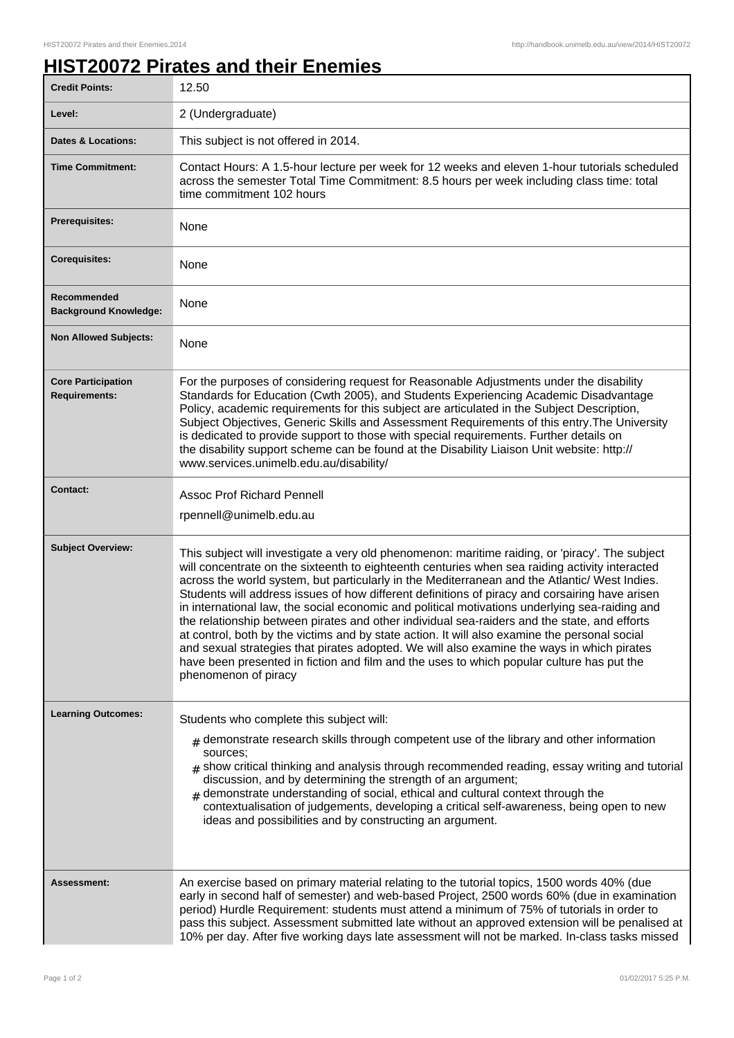## **HIST20072 Pirates and their Enemies**

| <b>Credit Points:</b>                             | 12.50                                                                                                                                                                                                                                                                                                                                                                                                                                                                                                                                                                                                                                                                                                                                                                                                                                                                                                                      |
|---------------------------------------------------|----------------------------------------------------------------------------------------------------------------------------------------------------------------------------------------------------------------------------------------------------------------------------------------------------------------------------------------------------------------------------------------------------------------------------------------------------------------------------------------------------------------------------------------------------------------------------------------------------------------------------------------------------------------------------------------------------------------------------------------------------------------------------------------------------------------------------------------------------------------------------------------------------------------------------|
| Level:                                            | 2 (Undergraduate)                                                                                                                                                                                                                                                                                                                                                                                                                                                                                                                                                                                                                                                                                                                                                                                                                                                                                                          |
| <b>Dates &amp; Locations:</b>                     | This subject is not offered in 2014.                                                                                                                                                                                                                                                                                                                                                                                                                                                                                                                                                                                                                                                                                                                                                                                                                                                                                       |
| <b>Time Commitment:</b>                           | Contact Hours: A 1.5-hour lecture per week for 12 weeks and eleven 1-hour tutorials scheduled<br>across the semester Total Time Commitment: 8.5 hours per week including class time: total<br>time commitment 102 hours                                                                                                                                                                                                                                                                                                                                                                                                                                                                                                                                                                                                                                                                                                    |
| <b>Prerequisites:</b>                             | None                                                                                                                                                                                                                                                                                                                                                                                                                                                                                                                                                                                                                                                                                                                                                                                                                                                                                                                       |
| <b>Corequisites:</b>                              | None                                                                                                                                                                                                                                                                                                                                                                                                                                                                                                                                                                                                                                                                                                                                                                                                                                                                                                                       |
| Recommended<br><b>Background Knowledge:</b>       | None                                                                                                                                                                                                                                                                                                                                                                                                                                                                                                                                                                                                                                                                                                                                                                                                                                                                                                                       |
| <b>Non Allowed Subjects:</b>                      | None                                                                                                                                                                                                                                                                                                                                                                                                                                                                                                                                                                                                                                                                                                                                                                                                                                                                                                                       |
| <b>Core Participation</b><br><b>Requirements:</b> | For the purposes of considering request for Reasonable Adjustments under the disability<br>Standards for Education (Cwth 2005), and Students Experiencing Academic Disadvantage<br>Policy, academic requirements for this subject are articulated in the Subject Description,<br>Subject Objectives, Generic Skills and Assessment Requirements of this entry. The University<br>is dedicated to provide support to those with special requirements. Further details on<br>the disability support scheme can be found at the Disability Liaison Unit website: http://<br>www.services.unimelb.edu.au/disability/                                                                                                                                                                                                                                                                                                           |
| <b>Contact:</b>                                   | <b>Assoc Prof Richard Pennell</b><br>rpennell@unimelb.edu.au                                                                                                                                                                                                                                                                                                                                                                                                                                                                                                                                                                                                                                                                                                                                                                                                                                                               |
| <b>Subject Overview:</b>                          | This subject will investigate a very old phenomenon: maritime raiding, or 'piracy'. The subject<br>will concentrate on the sixteenth to eighteenth centuries when sea raiding activity interacted<br>across the world system, but particularly in the Mediterranean and the Atlantic/ West Indies.<br>Students will address issues of how different definitions of piracy and corsairing have arisen<br>in international law, the social economic and political motivations underlying sea-raiding and<br>the relationship between pirates and other individual sea-raiders and the state, and efforts<br>at control, both by the victims and by state action. It will also examine the personal social<br>and sexual strategies that pirates adopted. We will also examine the ways in which pirates<br>have been presented in fiction and film and the uses to which popular culture has put the<br>phenomenon of piracy |
| <b>Learning Outcomes:</b>                         | Students who complete this subject will:<br>demonstrate research skills through competent use of the library and other information<br>#<br>sources:<br>$#$ show critical thinking and analysis through recommended reading, essay writing and tutorial<br>discussion, and by determining the strength of an argument;<br>demonstrate understanding of social, ethical and cultural context through the<br>contextualisation of judgements, developing a critical self-awareness, being open to new<br>ideas and possibilities and by constructing an argument.                                                                                                                                                                                                                                                                                                                                                             |
| Assessment:                                       | An exercise based on primary material relating to the tutorial topics, 1500 words 40% (due<br>early in second half of semester) and web-based Project, 2500 words 60% (due in examination<br>period) Hurdle Requirement: students must attend a minimum of 75% of tutorials in order to<br>pass this subject. Assessment submitted late without an approved extension will be penalised at<br>10% per day. After five working days late assessment will not be marked. In-class tasks missed                                                                                                                                                                                                                                                                                                                                                                                                                               |